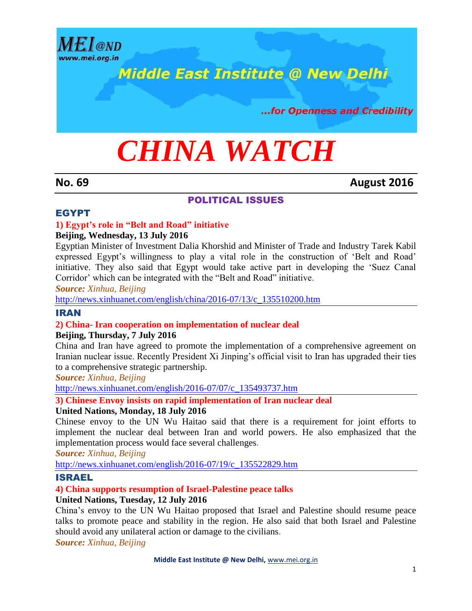

# **Middle East Institute @ New Delhi**

...for Openness and Credibility

# *CHINA WATCH*

**No. 69 August 2016**

### POLITICAL ISSUES

#### EGYPT

#### **1) Egypt's role in "Belt and Road" initiative**

#### **Beijing, Wednesday, 13 July 2016**

Egyptian Minister of Investment Dalia Khorshid and Minister of Trade and Industry Tarek Kabil expressed Egypt's willingness to play a vital role in the construction of 'Belt and Road' initiative. They also said that Egypt would take active part in developing the 'Suez Canal Corridor' which can be integrated with the "Belt and Road" initiative.

*Source: Xinhua, Beijing* 

[http://news.xinhuanet.com/english/china/2016-07/13/c\\_135510200.htm](http://news.xinhuanet.com/english/china/2016-07/13/c_135510200.htm)

#### IRAN

#### **2) China- Iran cooperation on implementation of nuclear deal**

#### **Beijing, Thursday, 7 July 2016**

China and Iran have agreed to promote the implementation of a comprehensive agreement on Iranian nuclear issue. Recently President Xi Jinping's official visit to Iran has upgraded their ties to a comprehensive strategic partnership.

*Source: Xinhua, Beijing* 

[http://news.xinhuanet.com/english/2016-07/07/c\\_135493737.htm](http://news.xinhuanet.com/english/2016-07/07/c_135493737.htm)

**3) Chinese Envoy insists on rapid implementation of Iran nuclear deal**

#### **United Nations, Monday, 18 July 2016**

Chinese envoy to the UN Wu Haitao said that there is a requirement for joint efforts to implement the nuclear deal between Iran and world powers. He also emphasized that the implementation process would face several challenges.

*Source: Xinhua, Beijing* 

[http://news.xinhuanet.com/english/2016-07/19/c\\_135522829.htm](http://news.xinhuanet.com/english/2016-07/19/c_135522829.htm)

#### ISRAEL

#### **4) China supports resumption of Israel-Palestine peace talks**

#### **United Nations, Tuesday, 12 July 2016**

China's envoy to the UN Wu Haitao proposed that Israel and Palestine should resume peace talks to promote peace and stability in the region. He also said that both Israel and Palestine should avoid any unilateral action or damage to the civilians.

*Source: Xinhua, Beijing*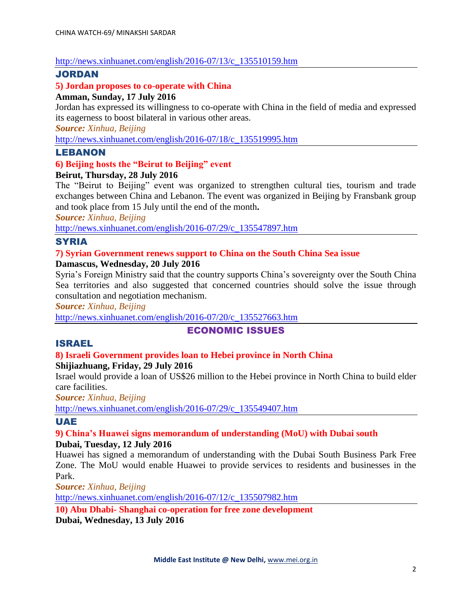#### [http://news.xinhuanet.com/english/2016-07/13/c\\_135510159.htm](http://news.xinhuanet.com/english/2016-07/13/c_135510159.htm)

#### JORDAN

#### **5) Jordan proposes to co-operate with China**

#### **Amman, Sunday, 17 July 2016**

Jordan has expressed its willingness to co-operate with China in the field of media and expressed its eagerness to boost bilateral in various other areas.

*Source: Xinhua, Beijing* 

[http://news.xinhuanet.com/english/2016-07/18/c\\_135519995.htm](http://news.xinhuanet.com/english/2016-07/18/c_135519995.htm)

#### LEBANON

#### **6) Beijing hosts the "Beirut to Beijing" event**

#### **Beirut, Thursday, 28 July 2016**

The "Beirut to Beijing" event was organized to strengthen cultural ties, tourism and trade exchanges between China and Lebanon. The event was organized in Beijing by Fransbank group and took place from 15 July until the end of the month**.** 

*Source: Xinhua, Beijing* 

[http://news.xinhuanet.com/english/2016-07/29/c\\_135547897.htm](http://news.xinhuanet.com/english/2016-07/29/c_135547897.htm)

#### **SYRIA**

#### **7) Syrian Government renews support to China on the South China Sea issue**

#### **Damascus, Wednesday, 20 July 2016**

Syria's Foreign Ministry said that the country supports China's sovereignty over the South China Sea territories and also suggested that concerned countries should solve the issue through consultation and negotiation mechanism.

*Source: Xinhua, Beijing* 

[http://news.xinhuanet.com/english/2016-07/20/c\\_135527663.htm](http://news.xinhuanet.com/english/2016-07/20/c_135527663.htm)

#### ECONOMIC ISSUES

#### ISRAEL

# **8) Israeli Government provides loan to Hebei province in North China**

**Shijiazhuang, Friday, 29 July 2016**

Israel would provide a loan of US\$26 million to the Hebei province in North China to build elder care facilities.

*Source: Xinhua, Beijing* 

[http://news.xinhuanet.com/english/2016-07/29/c\\_135549407.htm](http://news.xinhuanet.com/english/2016-07/29/c_135549407.htm)

#### UAE

# **9) China's Huawei signs memorandum of understanding (MoU) with Dubai south**

#### **Dubai, Tuesday, 12 July 2016**

Huawei has signed a memorandum of understanding with the Dubai South Business Park Free Zone. The MoU would enable Huawei to provide services to residents and businesses in the Park.

*Source: Xinhua, Beijing* 

[http://news.xinhuanet.com/english/2016-07/12/c\\_135507982.htm](http://news.xinhuanet.com/english/2016-07/12/c_135507982.htm)

**10) Abu Dhabi- Shanghai co-operation for free zone development Dubai, Wednesday, 13 July 2016**